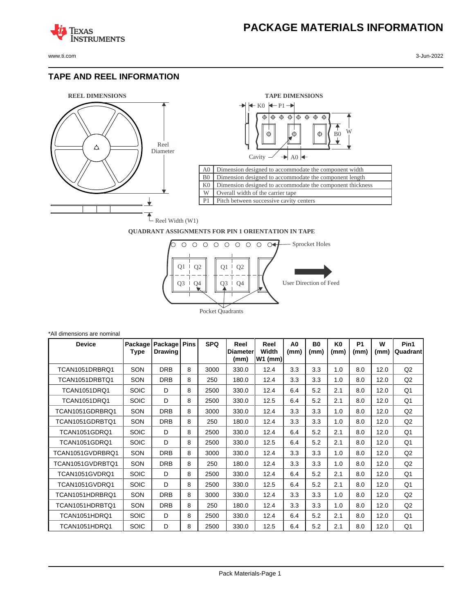www.ti.com 3-Jun-2022

**TEXAS** 

#### **TAPE AND REEL INFORMATION**

**ISTRUMENTS** 





#### **QUADRANT ASSIGNMENTS FOR PIN 1 ORIENTATION IN TAPE**



| *All dimensions are nominal |                 |                           |             |            |                                 |                            |                        |                        |                        |                   |           |                  |
|-----------------------------|-----------------|---------------------------|-------------|------------|---------------------------------|----------------------------|------------------------|------------------------|------------------------|-------------------|-----------|------------------|
| <b>Device</b>               | Package<br>Type | Package<br><b>Drawing</b> | <b>Pins</b> | <b>SPQ</b> | Reel<br><b>Diameter</b><br>(mm) | Reel<br>Width<br>$W1$ (mm) | A <sub>0</sub><br>(mm) | B <sub>0</sub><br>(mm) | K <sub>0</sub><br>(mm) | <b>P1</b><br>(mm) | W<br>(mm) | Pin1<br>Quadrant |
| TCAN1051DRBRQ1              | SON             | <b>DRB</b>                | 8           | 3000       | 330.0                           | 12.4                       | 3.3                    | 3.3                    | 1.0                    | 8.0               | 12.0      | Q <sub>2</sub>   |
| TCAN1051DRBTQ1              | SON             | <b>DRB</b>                | 8           | 250        | 180.0                           | 12.4                       | 3.3                    | 3.3                    | 1.0                    | 8.0               | 12.0      | Q2               |
| <b>TCAN1051DRQ1</b>         | <b>SOIC</b>     | D                         | 8           | 2500       | 330.0                           | 12.4                       | 6.4                    | 5.2                    | 2.1                    | 8.0               | 12.0      | Q1               |
| <b>TCAN1051DRQ1</b>         | <b>SOIC</b>     | D                         | 8           | 2500       | 330.0                           | 12.5                       | 6.4                    | 5.2                    | 2.1                    | 8.0               | 12.0      | Q1               |
| TCAN1051GDRBRQ1             | SON             | <b>DRB</b>                | 8           | 3000       | 330.0                           | 12.4                       | 3.3                    | 3.3                    | 1.0                    | 8.0               | 12.0      | Q <sub>2</sub>   |
| TCAN1051GDRBTQ1             | SON             | <b>DRB</b>                | 8           | 250        | 180.0                           | 12.4                       | 3.3                    | 3.3                    | 1.0                    | 8.0               | 12.0      | Q <sub>2</sub>   |
| <b>TCAN1051GDRO1</b>        | <b>SOIC</b>     | D                         | 8           | 2500       | 330.0                           | 12.4                       | 6.4                    | 5.2                    | 2.1                    | 8.0               | 12.0      | Q1               |
| TCAN1051GDRQ1               | <b>SOIC</b>     | D                         | 8           | 2500       | 330.0                           | 12.5                       | 6.4                    | 5.2                    | 2.1                    | 8.0               | 12.0      | Q1               |
| TCAN1051GVDRBRO1            | SON             | <b>DRB</b>                | 8           | 3000       | 330.0                           | 12.4                       | 3.3                    | 3.3                    | 1.0                    | 8.0               | 12.0      | Q <sub>2</sub>   |
| TCAN1051GVDRBTQ1            | <b>SON</b>      | <b>DRB</b>                | 8           | 250        | 180.0                           | 12.4                       | 3.3                    | 3.3                    | 1.0                    | 8.0               | 12.0      | Q <sub>2</sub>   |
| TCAN1051GVDRQ1              | <b>SOIC</b>     | D                         | 8           | 2500       | 330.0                           | 12.4                       | 6.4                    | 5.2                    | 2.1                    | 8.0               | 12.0      | Q1               |
| TCAN1051GVDRQ1              | <b>SOIC</b>     | D                         | 8           | 2500       | 330.0                           | 12.5                       | 6.4                    | 5.2                    | 2.1                    | 8.0               | 12.0      | Q1               |
| TCAN1051HDRBRO1             | SON             | <b>DRB</b>                | 8           | 3000       | 330.0                           | 12.4                       | 3.3                    | 3.3                    | 1.0                    | 8.0               | 12.0      | Q <sub>2</sub>   |
| TCAN1051HDRBTQ1             | SON             | <b>DRB</b>                | 8           | 250        | 180.0                           | 12.4                       | 3.3                    | 3.3                    | 1.0                    | 8.0               | 12.0      | Q <sub>2</sub>   |
| TCAN1051HDRQ1               | <b>SOIC</b>     | D                         | 8           | 2500       | 330.0                           | 12.4                       | 6.4                    | 5.2                    | 2.1                    | 8.0               | 12.0      | Q1               |
| TCAN1051HDRQ1               | <b>SOIC</b>     | D                         | 8           | 2500       | 330.0                           | 12.5                       | 6.4                    | 5.2                    | 2.1                    | 8.0               | 12.0      | Q1               |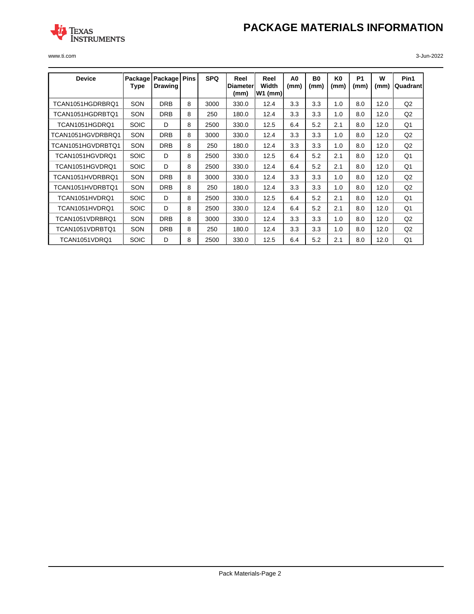# **PACKAGE MATERIALS INFORMATION**



www.ti.com 3-Jun-2022

| <b>Device</b>     | Package<br>Type | Package<br><b>Drawing</b> | <b>Pins</b> | <b>SPQ</b> | Reel<br>Diameter<br>(mm) | Reel<br>Width<br>$W1$ (mm) | A0<br>(mm) | B0<br>(mm) | K0<br>(mm) | P <sub>1</sub><br>(mm) | w<br>(mm) | Pin1<br>Quadrant |
|-------------------|-----------------|---------------------------|-------------|------------|--------------------------|----------------------------|------------|------------|------------|------------------------|-----------|------------------|
| TCAN1051HGDRBRQ1  | SON             | <b>DRB</b>                | 8           | 3000       | 330.0                    | 12.4                       | 3.3        | 3.3        | 1.0        | 8.0                    | 12.0      | Q <sub>2</sub>   |
| TCAN1051HGDRBTQ1  | SON             | <b>DRB</b>                | 8           | 250        | 180.0                    | 12.4                       | 3.3        | 3.3        | 1.0        | 8.0                    | 12.0      | Q <sub>2</sub>   |
| TCAN1051HGDRQ1    | <b>SOIC</b>     | D                         | 8           | 2500       | 330.0                    | 12.5                       | 6.4        | 5.2        | 2.1        | 8.0                    | 12.0      | Q1               |
| TCAN1051HGVDRBRQ1 | SON             | <b>DRB</b>                | 8           | 3000       | 330.0                    | 12.4                       | 3.3        | 3.3        | 1.0        | 8.0                    | 12.0      | Q2               |
| TCAN1051HGVDRBTQ1 | SON             | <b>DRB</b>                | 8           | 250        | 180.0                    | 12.4                       | 3.3        | 3.3        | 1.0        | 8.0                    | 12.0      | Q2               |
| TCAN1051HGVDRQ1   | <b>SOIC</b>     | D                         | 8           | 2500       | 330.0                    | 12.5                       | 6.4        | 5.2        | 2.1        | 8.0                    | 12.0      | Q <sub>1</sub>   |
| TCAN1051HGVDRQ1   | <b>SOIC</b>     | D                         | 8           | 2500       | 330.0                    | 12.4                       | 6.4        | 5.2        | 2.1        | 8.0                    | 12.0      | Q1               |
| TCAN1051HVDRBRQ1  | SON             | <b>DRB</b>                | 8           | 3000       | 330.0                    | 12.4                       | 3.3        | 3.3        | 1.0        | 8.0                    | 12.0      | Q2               |
| TCAN1051HVDRBTQ1  | SON             | <b>DRB</b>                | 8           | 250        | 180.0                    | 12.4                       | 3.3        | 3.3        | 1.0        | 8.0                    | 12.0      | Q2               |
| TCAN1051HVDRQ1    | <b>SOIC</b>     | D                         | 8           | 2500       | 330.0                    | 12.5                       | 6.4        | 5.2        | 2.1        | 8.0                    | 12.0      | Q1               |
| TCAN1051HVDRQ1    | <b>SOIC</b>     | D                         | 8           | 2500       | 330.0                    | 12.4                       | 6.4        | 5.2        | 2.1        | 8.0                    | 12.0      | Q1               |
| TCAN1051VDRBRQ1   | SON             | <b>DRB</b>                | 8           | 3000       | 330.0                    | 12.4                       | 3.3        | 3.3        | 1.0        | 8.0                    | 12.0      | Q2               |
| TCAN1051VDRBTQ1   | SON             | <b>DRB</b>                | 8           | 250        | 180.0                    | 12.4                       | 3.3        | 3.3        | 1.0        | 8.0                    | 12.0      | Q <sub>2</sub>   |
| TCAN1051VDRQ1     | <b>SOIC</b>     | D                         | 8           | 2500       | 330.0                    | 12.5                       | 6.4        | 5.2        | 2.1        | 8.0                    | 12.0      | Q <sub>1</sub>   |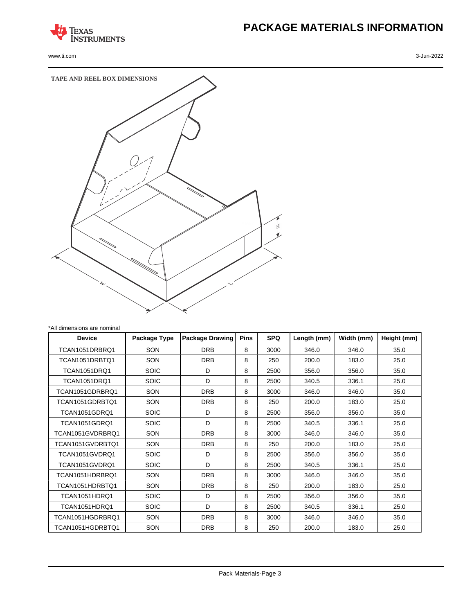

www.ti.com 3-Jun-2022

# **PACKAGE MATERIALS INFORMATION**



| *All dimensions are nominal |              |                        |             |            |             |            |             |
|-----------------------------|--------------|------------------------|-------------|------------|-------------|------------|-------------|
| <b>Device</b>               | Package Type | <b>Package Drawing</b> | <b>Pins</b> | <b>SPQ</b> | Length (mm) | Width (mm) | Height (mm) |
| TCAN1051DRBRQ1              | SON          | <b>DRB</b>             | 8           | 3000       | 346.0       | 346.0      | 35.0        |
| TCAN1051DRBTO1              | SON          | <b>DRB</b>             | 8           | 250        | 200.0       | 183.0      | 25.0        |
| <b>TCAN1051DRQ1</b>         | <b>SOIC</b>  | D                      | 8           | 2500       | 356.0       | 356.0      | 35.0        |
| <b>TCAN1051DRQ1</b>         | <b>SOIC</b>  | D                      | 8           | 2500       | 340.5       | 336.1      | 25.0        |
| TCAN1051GDRBRQ1             | SON          | <b>DRB</b>             | 8           | 3000       | 346.0       | 346.0      | 35.0        |
| TCAN1051GDRBTQ1             | SON          | <b>DRB</b>             | 8           | 250        | 200.0       | 183.0      | 25.0        |
| <b>TCAN1051GDRQ1</b>        | <b>SOIC</b>  | D                      | 8           | 2500       | 356.0       | 356.0      | 35.0        |
| TCAN1051GDRQ1               | <b>SOIC</b>  | D.                     | 8           | 2500       | 340.5       | 336.1      | 25.0        |
| TCAN1051GVDRBRQ1            | SON          | <b>DRB</b>             | 8           | 3000       | 346.0       | 346.0      | 35.0        |
| TCAN1051GVDRBTQ1            | SON          | <b>DRB</b>             | 8           | 250        | 200.0       | 183.0      | 25.0        |
| TCAN1051GVDRQ1              | <b>SOIC</b>  | D                      | 8           | 2500       | 356.0       | 356.0      | 35.0        |
| TCAN1051GVDRQ1              | <b>SOIC</b>  | D                      | 8           | 2500       | 340.5       | 336.1      | 25.0        |
| TCAN1051HDRBRQ1             | SON          | <b>DRB</b>             | 8           | 3000       | 346.0       | 346.0      | 35.0        |
| TCAN1051HDRBTO1             | SON          | <b>DRB</b>             | 8           | 250        | 200.0       | 183.0      | 25.0        |
| TCAN1051HDRQ1               | <b>SOIC</b>  | D                      | 8           | 2500       | 356.0       | 356.0      | 35.0        |
| TCAN1051HDRQ1               | <b>SOIC</b>  | D                      | 8           | 2500       | 340.5       | 336.1      | 25.0        |
| TCAN1051HGDRBRQ1            | SON          | <b>DRB</b>             | 8           | 3000       | 346.0       | 346.0      | 35.0        |
| TCAN1051HGDRBTQ1            | SON          | <b>DRB</b>             | 8           | 250        | 200.0       | 183.0      | 25.0        |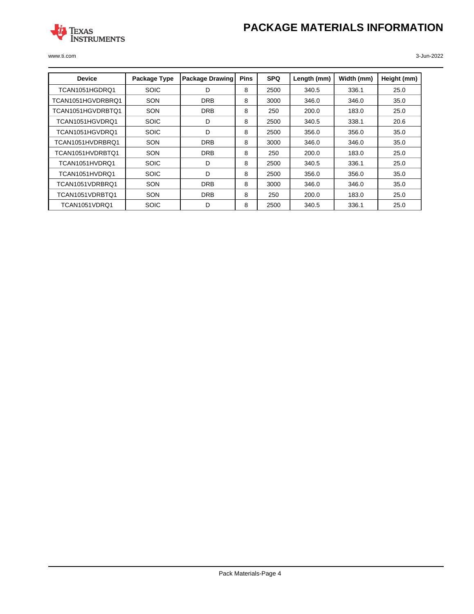# **PACKAGE MATERIALS INFORMATION**



www.ti.com 3-Jun-2022

| <b>Device</b>     | Package Type | <b>Package Drawing</b> | <b>Pins</b> | <b>SPQ</b> | Length (mm) | Width (mm) | Height (mm) |
|-------------------|--------------|------------------------|-------------|------------|-------------|------------|-------------|
| TCAN1051HGDRQ1    | <b>SOIC</b>  | D                      | 8           | 2500       | 340.5       | 336.1      | 25.0        |
| TCAN1051HGVDRBRQ1 | SON          | <b>DRB</b>             | 8           | 3000       | 346.0       | 346.0      | 35.0        |
| TCAN1051HGVDRBTQ1 | SON          | <b>DRB</b>             | 8           | 250        | 200.0       | 183.0      | 25.0        |
| TCAN1051HGVDRO1   | <b>SOIC</b>  | D                      | 8           | 2500       | 340.5       | 338.1      | 20.6        |
| TCAN1051HGVDRQ1   | <b>SOIC</b>  | D                      | 8           | 2500       | 356.0       | 356.0      | 35.0        |
| TCAN1051HVDRBRQ1  | SON          | <b>DRB</b>             | 8           | 3000       | 346.0       | 346.0      | 35.0        |
| TCAN1051HVDRBTQ1  | SON          | <b>DRB</b>             | 8           | 250        | 200.0       | 183.0      | 25.0        |
| TCAN1051HVDRQ1    | <b>SOIC</b>  | D                      | 8           | 2500       | 340.5       | 336.1      | 25.0        |
| TCAN1051HVDRQ1    | <b>SOIC</b>  | D                      | 8           | 2500       | 356.0       | 356.0      | 35.0        |
| TCAN1051VDRBRQ1   | SON          | <b>DRB</b>             | 8           | 3000       | 346.0       | 346.0      | 35.0        |
| TCAN1051VDRBTQ1   | SON          | <b>DRB</b>             | 8           | 250        | 200.0       | 183.0      | 25.0        |
| TCAN1051VDRQ1     | <b>SOIC</b>  | D                      | 8           | 2500       | 340.5       | 336.1      | 25.0        |